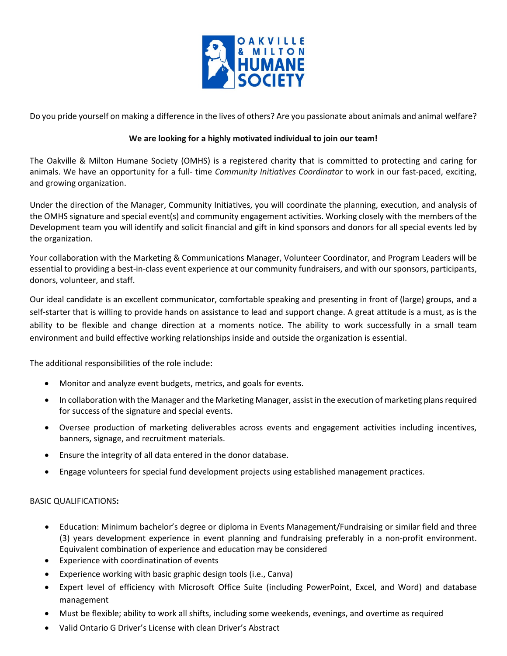

Do you pride yourself on making a difference in the lives of others? Are you passionate about animals and animal welfare?

## **We are looking for a highly motivated individual to join our team!**

The Oakville & Milton Humane Society (OMHS) is a registered charity that is committed to protecting and caring for animals. We have an opportunity for a full- time *Community Initiatives Coordinator* to work in our fast-paced, exciting, and growing organization.

Under the direction of the Manager, Community Initiatives, you will coordinate the planning, execution, and analysis of the OMHS signature and special event(s) and community engagement activities. Working closely with the members of the Development team you will identify and solicit financial and gift in kind sponsors and donors for all special events led by the organization.

Your collaboration with the Marketing & Communications Manager, Volunteer Coordinator, and Program Leaders will be essential to providing a best-in-class event experience at our community fundraisers, and with our sponsors, participants, donors, volunteer, and staff.

Our ideal candidate is an excellent communicator, comfortable speaking and presenting in front of (large) groups, and a self-starter that is willing to provide hands on assistance to lead and support change. A great attitude is a must, as is the ability to be flexible and change direction at a moments notice. The ability to work successfully in a small team environment and build effective working relationships inside and outside the organization is essential.

The additional responsibilities of the role include:

- Monitor and analyze event budgets, metrics, and goals for events.
- In collaboration with the Manager and the Marketing Manager, assist in the execution of marketing plans required for success of the signature and special events.
- Oversee production of marketing deliverables across events and engagement activities including incentives, banners, signage, and recruitment materials.
- Ensure the integrity of all data entered in the donor database.
- Engage volunteers for special fund development projects using established management practices.

# BASIC QUALIFICATIONS**:**

- Education: Minimum bachelor's degree or diploma in Events Management/Fundraising or similar field and three (3) years development experience in event planning and fundraising preferably in a non-profit environment. Equivalent combination of experience and education may be considered
- Experience with coordinatination of events
- Experience working with basic graphic design tools (i.e., Canva)
- Expert level of efficiency with Microsoft Office Suite (including PowerPoint, Excel, and Word) and database management
- Must be flexible; ability to work all shifts, including some weekends, evenings, and overtime as required
- Valid Ontario G Driver's License with clean Driver's Abstract